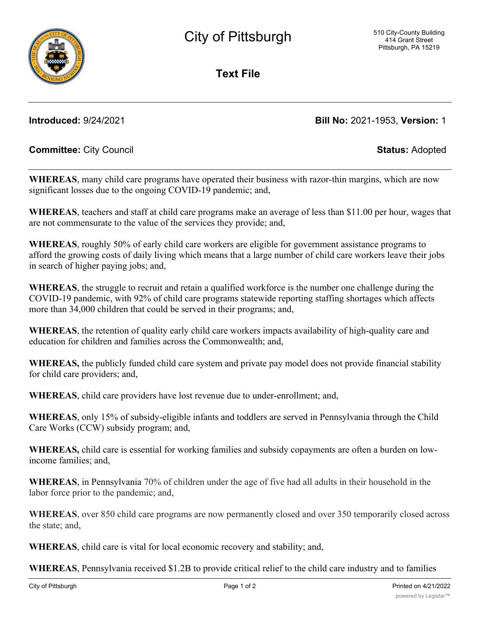**Text File**

**Introduced:** 9/24/2021 **Bill No:** 2021-1953, **Version:** 1

## **Committee:** City Council **Status:** Adopted

**WHEREAS**, many child care programs have operated their business with razor-thin margins, which are now significant losses due to the ongoing COVID-19 pandemic; and,

**WHEREAS**, teachers and staff at child care programs make an average of less than \$11.00 per hour, wages that are not commensurate to the value of the services they provide; and,

**WHEREAS**, roughly 50% of early child care workers are eligible for government assistance programs to afford the growing costs of daily living which means that a large number of child care workers leave their jobs in search of higher paying jobs; and,

**WHEREAS**, the struggle to recruit and retain a qualified workforce is the number one challenge during the COVID-19 pandemic, with 92% of child care programs statewide reporting staffing shortages which affects more than 34,000 children that could be served in their programs; and,

**WHEREAS**, the retention of quality early child care workers impacts availability of high-quality care and education for children and families across the Commonwealth; and,

**WHEREAS,** the publicly funded child care system and private pay model does not provide financial stability for child care providers; and,

**WHEREAS**, child care providers have lost revenue due to under-enrollment; and,

**WHEREAS**, only 15% of subsidy-eligible infants and toddlers are served in Pennsylvania through the Child Care Works (CCW) subsidy program; and,

**WHEREAS,** child care is essential for working families and subsidy copayments are often a burden on lowincome families; and,

**WHEREAS**, in Pennsylvania 70% of children under the age of five had all adults in their household in the labor force prior to the pandemic; and,

**WHEREAS**, over 850 child care programs are now permanently closed and over 350 temporarily closed across the state; and,

**WHEREAS**, child care is vital for local economic recovery and stability; and,

**WHEREAS**, Pennsylvania received \$1.2B to provide critical relief to the child care industry and to families